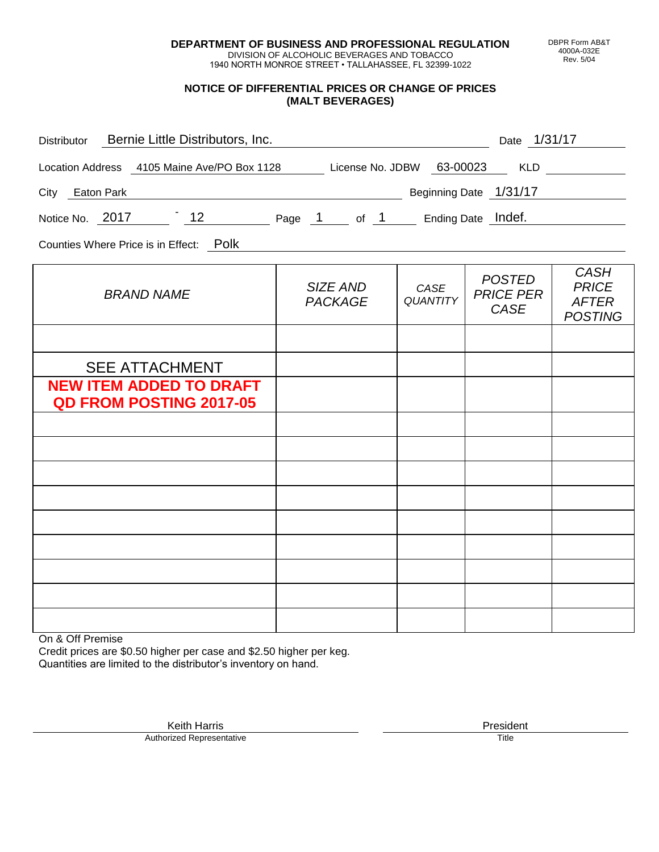**DEPARTMENT OF BUSINESS AND PROFESSIONAL REGULATION** DIVISION OF ALCOHOLIC BEVERAGES AND TOBACCO

1940 NORTH MONROE STREET • TALLAHASSEE, FL 32399-1022

## **NOTICE OF DIFFERENTIAL PRICES OR CHANGE OF PRICES (MALT BEVERAGES)**

| Bernie Little Distributors, Inc.<br>Distributor                           | Date 1/31/17               |                         |                                                  |                                                               |
|---------------------------------------------------------------------------|----------------------------|-------------------------|--------------------------------------------------|---------------------------------------------------------------|
| Location Address 4105 Maine Ave/PO Box 1128 License No. JDBW 63-00023 KLD |                            |                         |                                                  | <u>and a strong strong</u>                                    |
| City Eaton Park                                                           | Beginning Date 1/31/17     |                         |                                                  |                                                               |
| Notice No. 2017 12 Page 1 of 1 Ending Date Indef.                         |                            |                         |                                                  |                                                               |
| Counties Where Price is in Effect: Polk                                   |                            |                         |                                                  |                                                               |
| <b>BRAND NAME</b>                                                         | SIZE AND<br><b>PACKAGE</b> | CASE<br><b>QUANTITY</b> | <b>POSTED</b><br><b>PRICE PER</b><br><b>CASE</b> | <b>CASH</b><br><b>PRICE</b><br><b>AFTER</b><br><b>POSTING</b> |
|                                                                           |                            |                         |                                                  |                                                               |
| <b>SEE ATTACHMENT</b>                                                     |                            |                         |                                                  |                                                               |
| <b>NEW ITEM ADDED TO DRAFT</b><br><b>QD FROM POSTING 2017-05</b>          |                            |                         |                                                  |                                                               |
|                                                                           |                            |                         |                                                  |                                                               |
|                                                                           |                            |                         |                                                  |                                                               |
|                                                                           |                            |                         |                                                  |                                                               |
|                                                                           |                            |                         |                                                  |                                                               |
|                                                                           |                            |                         |                                                  |                                                               |
|                                                                           |                            |                         |                                                  |                                                               |
|                                                                           |                            |                         |                                                  |                                                               |
|                                                                           |                            |                         |                                                  |                                                               |
|                                                                           |                            |                         |                                                  |                                                               |

On & Off Premise

Credit prices are \$0.50 higher per case and \$2.50 higher per keg. Quantities are limited to the distributor's inventory on hand.

> Keith Harris **President** Authorized Representative Title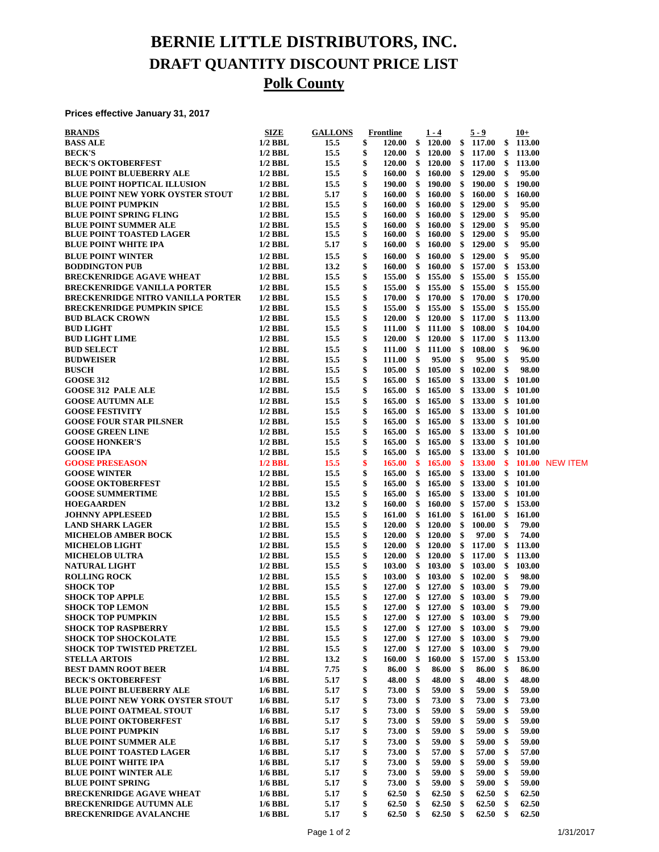## **BERNIE LITTLE DISTRIBUTORS, INC. DRAFT QUANTITY DISCOUNT PRICE LIST Polk County**

**Prices effective January 31, 2017**

| <b>BRANDS</b>                                            | <b>SIZE</b>            | <b>GALLONS</b> |          | <b>Frontline</b> |          | $1 - 4$                       |               | $5 - 9$          |               | $10+$            |                 |
|----------------------------------------------------------|------------------------|----------------|----------|------------------|----------|-------------------------------|---------------|------------------|---------------|------------------|-----------------|
| <b>BASS ALE</b>                                          | $1/2$ BBL              | 15.5           | \$       | 120.00           | \$       | 120.00                        |               | \$117.00         | \$            | 113.00           |                 |
| <b>BECK'S</b>                                            | $1/2$ BBL              | 15.5           | \$       | 120.00           | \$       | 120.00                        | \$            | 117.00           | \$            | 113.00           |                 |
| <b>BECK'S OKTOBERFEST</b>                                | $1/2$ BBL              | 15.5           | \$       | <b>120.00</b>    | \$       | 120.00                        | \$            | 117.00           | \$            | 113.00           |                 |
| <b>BLUE POINT BLUEBERRY ALE</b>                          | $1/2$ BBL              | 15.5           | \$       | 160.00           | \$       | 160.00                        | \$            | 129.00           | \$            | 95.00            |                 |
| <b>BLUE POINT HOPTICAL ILLUSION</b>                      | $1/2$ BBL              | 15.5           | \$       | 190.00           | \$       | 190.00                        | \$            | 190.00           | \$            | 190.00           |                 |
| <b>BLUE POINT NEW YORK OYSTER STOUT</b>                  | $1/2$ BBL              | 5.17           | \$       | 160.00           | \$       | 160.00                        | \$            | 160.00           | \$            | 160.00           |                 |
| <b>BLUE POINT PUMPKIN</b>                                | $1/2$ BBL              | 15.5           | \$       | 160.00           | \$       | 160.00                        | \$            | 129.00           | \$            | 95.00            |                 |
| <b>BLUE POINT SPRING FLING</b>                           | $1/2$ BBL              | 15.5           | \$       | 160.00           | \$       | 160.00                        | \$            | 129.00           | \$            | 95.00            |                 |
| <b>BLUE POINT SUMMER ALE</b>                             | $1/2$ BBL              | 15.5           | \$       | 160.00           | \$       | 160.00                        | \$            | 129.00           | \$            | 95.00            |                 |
| <b>BLUE POINT TOASTED LAGER</b>                          | $1/2$ BBL<br>$1/2$ BBL | 15.5           | \$       | 160.00           | \$       | <b>160.00</b>                 | \$            | 129.00           | \$<br>\$      | 95.00            |                 |
| <b>BLUE POINT WHITE IPA</b>                              |                        | 5.17           | \$       | 160.00           | \$       | 160.00                        | \$            | 129.00           |               | 95.00            |                 |
| <b>BLUE POINT WINTER</b>                                 | $1/2$ BBL              | 15.5           | \$<br>\$ | 160.00           | \$       | 160.00<br>160.00              | \$            | 129.00           | \$            | 95.00            |                 |
| <b>BODDINGTON PUB</b><br><b>BRECKENRIDGE AGAVE WHEAT</b> | $1/2$ BBL<br>$1/2$ BBL | 13.2<br>15.5   | \$       | 160.00<br>155.00 | \$<br>\$ | 155.00                        | \$<br>\$      | 157.00<br>155.00 | \$<br>\$      | 153.00<br>155.00 |                 |
| <b>BRECKENRIDGE VANILLA PORTER</b>                       | $1/2$ BBL              | 15.5           | \$       | 155.00           | \$       | 155.00                        | $\frac{1}{2}$ | 155.00           | \$            | 155.00           |                 |
| <b>BRECKENRIDGE NITRO VANILLA PORTER</b>                 | $1/2$ BBL              | 15.5           | \$       | 170.00           | \$       | 170.00                        | \$            | 170.00           |               | \$170.00         |                 |
| <b>BRECKENRIDGE PUMPKIN SPICE</b>                        | $1/2$ BBL              | 15.5           | \$       | 155.00           | \$       | 155.00                        | \$            | 155.00           | \$            | 155.00           |                 |
| <b>BUD BLACK CROWN</b>                                   | $1/2$ BBL              | 15.5           | \$       | <b>120.00</b>    | \$       | 120.00                        | \$            | 117.00           | \$            | 113.00           |                 |
| <b>BUD LIGHT</b>                                         | $1/2$ BBL              | 15.5           | \$       | 111.00           | \$       | 111.00                        | \$            | 108.00           | \$            | 104.00           |                 |
| <b>BUD LIGHT LIME</b>                                    | $1/2$ BBL              | 15.5           | \$       | 120.00           | \$       | 120.00                        | $\mathbf{\$}$ | 117.00           | \$            | 113.00           |                 |
| <b>BUD SELECT</b>                                        | $1/2$ BBL              | 15.5           | \$       | 111.00           | \$       | 111.00                        | -\$           | 108.00           | \$            | 96.00            |                 |
| <b>BUDWEISER</b>                                         | $1/2$ BBL              | 15.5           | \$       | 111.00           | \$       | 95.00                         | \$            | 95.00            | \$            | 95.00            |                 |
| <b>BUSCH</b>                                             | $1/2$ BBL              | 15.5           | \$       | 105.00           | \$       | 105.00                        | \$            | 102.00           | \$            | 98.00            |                 |
| <b>GOOSE 312</b>                                         | $1/2$ BBL              | 15.5           | \$       | 165.00           | \$       | 165.00                        | \$            | 133.00           | \$            | 101.00           |                 |
| <b>GOOSE 312 PALE ALE</b>                                | $1/2$ BBL              | 15.5           | \$       | 165.00           | \$       | 165.00                        | $\frac{1}{2}$ | 133.00           | \$            | 101.00           |                 |
| <b>GOOSE AUTUMN ALE</b>                                  | $1/2$ BBL              | 15.5           | \$       | 165.00           | \$       | 165.00                        | \$            | 133.00           |               | \$101.00         |                 |
| <b>GOOSE FESTIVITY</b>                                   | $1/2$ BBL              | 15.5           | \$       | 165.00           | \$       | 165.00                        | \$            | 133.00           | \$            | 101.00           |                 |
| <b>GOOSE FOUR STAR PILSNER</b>                           | $1/2$ BBL              | 15.5           | \$       | 165.00           | \$       | 165.00                        | \$            | 133.00           | \$            | 101.00           |                 |
| <b>GOOSE GREEN LINE</b>                                  | $1/2$ BBL              | 15.5           | \$       | 165.00           | \$       | 165.00                        | \$            | 133.00           | \$            | 101.00           |                 |
| <b>GOOSE HONKER'S</b>                                    | $1/2$ BBL              | 15.5           | \$       | 165.00           | \$       | 165.00                        | \$            | 133.00           | \$            | 101.00           |                 |
| <b>GOOSE IPA</b>                                         | $1/2$ BBL              | 15.5           | \$       | 165.00           | \$       | 165.00                        | \$            | 133.00           |               | \$101.00         |                 |
| <b>GOOSE PRESEASON</b>                                   | $1/2$ BBL              | 15.5           | \$       | 165.00           | \$       | 165.00                        | \$            | <b>133.00</b>    | \$            | 101.00           | <b>NEW ITEM</b> |
| <b>GOOSE WINTER</b>                                      | $1/2$ BBL              | 15.5           | \$       | 165.00           | \$       | 165.00                        | \$            | 133.00           | $\mathbf{\$}$ | 101.00           |                 |
| <b>GOOSE OKTOBERFEST</b>                                 | $1/2$ BBL              | 15.5           | \$       | 165.00           | \$       | 165.00                        | \$            | 133.00           | \$            | 101.00           |                 |
| <b>GOOSE SUMMERTIME</b>                                  | $1/2$ BBL              | 15.5           | \$       | 165.00           | \$       | 165.00                        | \$            | 133.00           | \$            | 101.00           |                 |
| <b>HOEGAARDEN</b>                                        | $1/2$ BBL              | 13.2           | \$       | 160.00           | \$       | 160.00                        | \$            | 157.00           | \$            | 153.00           |                 |
| <b>JOHNNY APPLESEED</b>                                  | $1/2$ BBL              | 15.5           | \$       | 161.00           | \$       | 161.00                        | \$            | 161.00           | \$            | 161.00           |                 |
| <b>LAND SHARK LAGER</b>                                  | $1/2$ BBL              | 15.5           | \$       | <b>120.00</b>    | \$       | 120.00                        | \$            | 100.00           | \$            | 79.00            |                 |
| <b>MICHELOB AMBER BOCK</b>                               | $1/2$ BBL              | 15.5           | \$       | 120.00           | \$       | 120.00                        | \$            | 97.00            | \$            | 74.00            |                 |
| <b>MICHELOB LIGHT</b>                                    | $1/2$ BBL              | 15.5           | \$       | 120.00           | \$       | 120.00                        | $\frac{1}{2}$ | 117.00           | \$            | 113.00           |                 |
| <b>MICHELOB ULTRA</b>                                    | $1/2$ BBL              | 15.5           | \$       | 120.00           | \$       | 120.00                        | \$            | 117.00           | \$            | 113.00           |                 |
| <b>NATURAL LIGHT</b>                                     | $1/2$ BBL              | 15.5           | \$<br>\$ | 103.00           | \$       | 103.00                        | \$            | 103.00           | \$<br>\$      | 103.00           |                 |
| <b>ROLLING ROCK</b><br><b>SHOCK TOP</b>                  | $1/2$ BBL<br>$1/2$ BBL | 15.5<br>15.5   | \$       | 103.00<br>127.00 | \$<br>\$ | 103.00<br>127.00              | \$<br>\$      | 102.00<br>103.00 | \$            | 98.00<br>79.00   |                 |
| <b>SHOCK TOP APPLE</b>                                   | $1/2$ BBL              | 15.5           | \$       | 127.00           |          | \$127.00                      |               | \$103.00         | \$            | 79.00            |                 |
| <b>SHOCK TOP LEMON</b>                                   | 1/2 BBL                | 15.5           | \$       |                  |          | 127.00 \$ 127.00 \$ 103.00 \$ |               |                  |               | 79.00            |                 |
| <b>SHOCK TOP PUMPKIN</b>                                 | $1/2$ BBL              | 15.5           | \$       | 127.00           |          | \$127.00                      | \$            | 103.00           | \$            | 79.00            |                 |
| <b>SHOCK TOP RASPBERRY</b>                               | $1/2$ BBL              | 15.5           | \$       | 127.00           | \$       | 127.00                        | \$            | 103.00           | \$            | 79.00            |                 |
| <b>SHOCK TOP SHOCKOLATE</b>                              | $1/2$ BBL              | 15.5           | \$       | 127.00           | \$       | 127.00                        | \$            | 103.00           | \$            | 79.00            |                 |
| <b>SHOCK TOP TWISTED PRETZEL</b>                         | $1/2$ BBL              | 15.5           | \$       | 127.00           | \$       | 127.00                        | \$            | 103.00           | \$            | 79.00            |                 |
| <b>STELLA ARTOIS</b>                                     | $1/2$ BBL              | 13.2           | \$       | 160.00           | \$       | 160.00                        | \$            | 157.00           | \$            | 153.00           |                 |
| <b>BEST DAMN ROOT BEER</b>                               | 1/4 BBL                | 7.75           | \$       | 86.00            | \$       | 86.00                         | \$            | 86.00            | \$            | 86.00            |                 |
| <b>BECK'S OKTOBERFEST</b>                                | 1/6 BBL                | 5.17           | \$       | 48.00            | \$       | 48.00                         | \$            | 48.00            | \$            | 48.00            |                 |
| <b>BLUE POINT BLUEBERRY ALE</b>                          | $1/6$ BBL              | 5.17           | \$       | 73.00            | \$       | 59.00                         | \$            | 59.00            | \$            | 59.00            |                 |
| BLUE POINT NEW YORK OYSTER STOUT                         | $1/6$ BBL              | 5.17           | \$       | 73.00            | \$       | 73.00                         | \$            | 73.00            | \$            | 73.00            |                 |
| <b>BLUE POINT OATMEAL STOUT</b>                          | $1/6$ BBL              | 5.17           | \$       | 73.00            | \$       | 59.00                         | \$            | 59.00            | \$            | 59.00            |                 |
| <b>BLUE POINT OKTOBERFEST</b>                            | 1/6 BBL                | 5.17           | \$       | 73.00            | \$       | 59.00                         | \$            | 59.00            | \$            | 59.00            |                 |
| <b>BLUE POINT PUMPKIN</b>                                | $1/6$ BBL              | 5.17           | \$       | 73.00            | \$       | 59.00                         | \$            | 59.00            | \$            | 59.00            |                 |
| <b>BLUE POINT SUMMER ALE</b>                             | $1/6$ BBL              | 5.17           | \$       | 73.00            | \$       | 59.00                         | \$            | 59.00            | \$            | 59.00            |                 |
| <b>BLUE POINT TOASTED LAGER</b>                          | $1/6$ BBL              | 5.17           | \$       | 73.00            | \$       | 57.00                         | \$            | 57.00            | \$            | 57.00            |                 |
| <b>BLUE POINT WHITE IPA</b>                              | $1/6$ BBL              | 5.17           | \$       | 73.00            | \$       | 59.00                         | \$            | 59.00            | \$            | 59.00            |                 |
| <b>BLUE POINT WINTER ALE</b>                             | $1/6$ BBL              | 5.17           | \$       | 73.00            | \$       | 59.00                         | \$            | 59.00            | \$            | 59.00            |                 |
| <b>BLUE POINT SPRING</b>                                 | 1/6 BBL                | 5.17           | \$       | 73.00            | \$       | 59.00                         | \$            | 59.00            | \$            | 59.00            |                 |
| <b>BRECKENRIDGE AGAVE WHEAT</b>                          | $1/6$ BBL              | 5.17           | \$       | 62.50            | \$       | 62.50                         | \$            | 62.50            | \$            | 62.50            |                 |
| <b>BRECKENRIDGE AUTUMN ALE</b>                           | $1/6$ BBL              | 5.17           | \$       | 62.50            | \$       | 62.50                         | \$            | 62.50            | \$            | 62.50            |                 |
| <b>BRECKENRIDGE AVALANCHE</b>                            | $1/6$ BBL              | 5.17           | \$       | 62.50            | \$       | 62.50                         | \$            | 62.50            | \$            | 62.50            |                 |